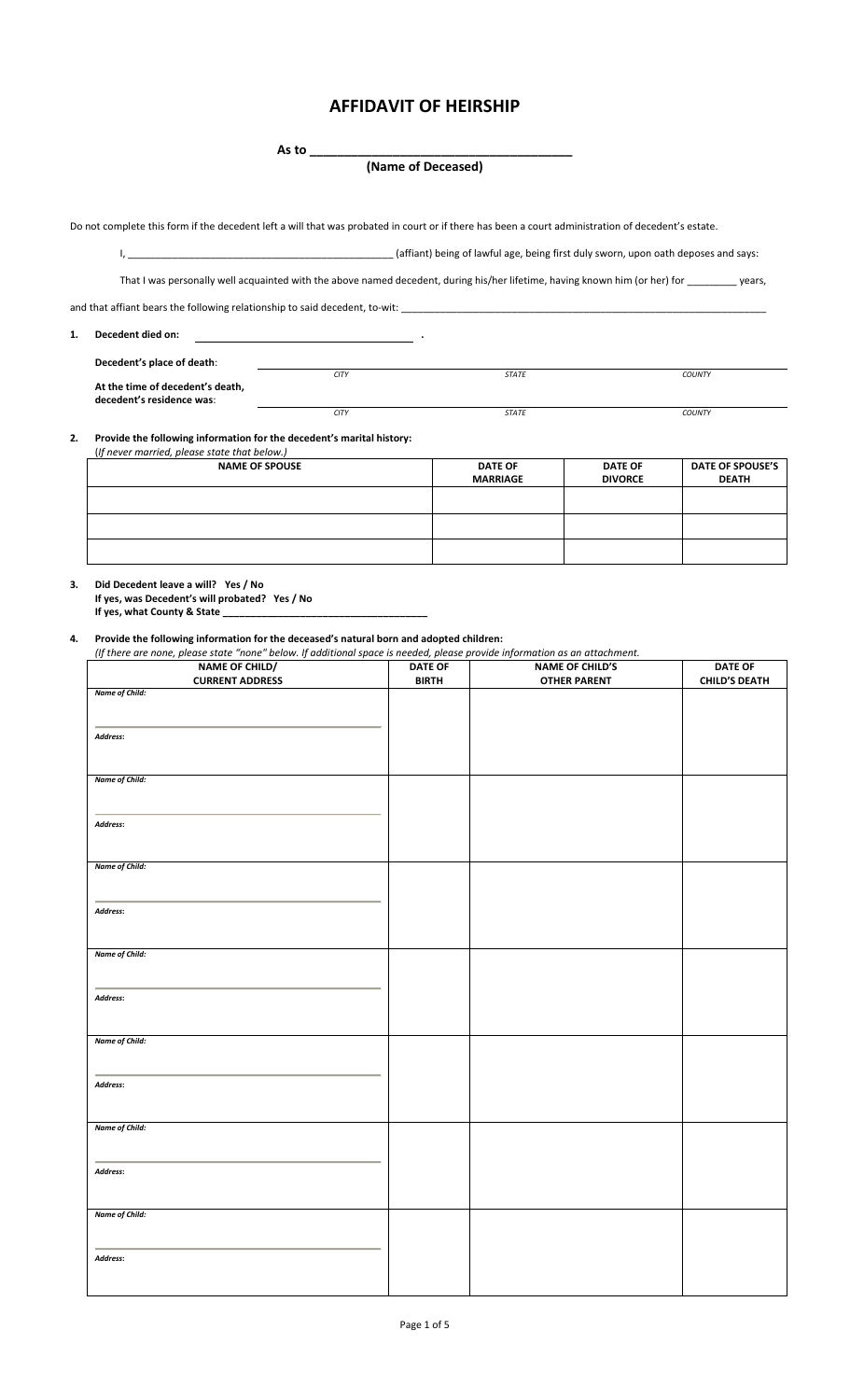**As to \_\_\_\_\_\_\_\_\_\_\_\_\_\_\_\_\_\_\_\_\_\_\_\_\_\_\_\_\_\_\_\_\_\_\_\_\_\_**

**(Name of Deceased)**

Do not complete this form if the decedent left a will that was probated in court or if there has been a court administration of decedent's estate.

I, \_\_\_\_\_\_\_\_\_\_\_\_\_\_\_\_\_\_\_\_\_\_\_\_\_\_\_\_\_\_\_\_\_\_\_\_\_\_\_\_\_\_\_\_\_\_\_\_ (affiant) being of lawful age, being first duly sworn, upon oath deposes and says:

That I was personally well acquainted with the above named decedent, during his/her lifetime, having known him (or her) for \_\_\_\_\_\_\_\_ years,

and that affiant bears the following relationship to said decedent, to-wit: \_\_\_\_

**1. Decedent died on: .**

**Decedent's place of death**: *CITY STATE COUNTY* **At the time of decedent's death, decedent's residence was**: *CITY STATE COUNTY*

**2. Provide the following information for the decedent's marital history:**

| <b>NAME OF SPOUSE</b> | <b>DATE OF</b><br><b>MARRIAGE</b> | <b>DATE OF</b><br><b>DIVORCE</b> | DATE OF SPOUSE'S<br><b>DEATH</b> |
|-----------------------|-----------------------------------|----------------------------------|----------------------------------|
|                       |                                   |                                  |                                  |
|                       |                                   |                                  |                                  |
|                       |                                   |                                  |                                  |

**3. Did Decedent leave a will? Yes / No**

**If yes, was Decedent's will probated? Yes / No If yes, what County & State \_\_\_\_\_\_\_\_\_\_\_\_\_\_\_\_\_\_\_\_\_\_\_\_\_\_\_\_\_\_\_\_\_\_\_\_\_**

**4. Provide the following information for the deceased's natural born and adopted children:**

(If there are none, please state "none" below. If additional space is needed, please provide information as an attachment.

| NAME OF CHILD/         | <b>DATE OF</b> | <b>NAME OF CHILD'S</b> | <b>DATE OF</b>       |
|------------------------|----------------|------------------------|----------------------|
| <b>CURRENT ADDRESS</b> | <b>BIRTH</b>   | <b>OTHER PARENT</b>    | <b>CHILD'S DEATH</b> |
| Name of Child:         |                |                        |                      |
|                        |                |                        |                      |
|                        |                |                        |                      |
| Address:               |                |                        |                      |
|                        |                |                        |                      |
|                        |                |                        |                      |
| Name of Child:         |                |                        |                      |
|                        |                |                        |                      |
|                        |                |                        |                      |
| Address:               |                |                        |                      |
|                        |                |                        |                      |
|                        |                |                        |                      |
| Name of Child:         |                |                        |                      |
|                        |                |                        |                      |
|                        |                |                        |                      |
| Address:               |                |                        |                      |
|                        |                |                        |                      |
|                        |                |                        |                      |
| Name of Child:         |                |                        |                      |
|                        |                |                        |                      |
|                        |                |                        |                      |
| Address:               |                |                        |                      |
|                        |                |                        |                      |
|                        |                |                        |                      |
| Name of Child:         |                |                        |                      |
|                        |                |                        |                      |
|                        |                |                        |                      |
| Address:               |                |                        |                      |
|                        |                |                        |                      |
|                        |                |                        |                      |
| <b>Name of Child:</b>  |                |                        |                      |
|                        |                |                        |                      |
|                        |                |                        |                      |
| Address:               |                |                        |                      |
|                        |                |                        |                      |
|                        |                |                        |                      |
| Name of Child:         |                |                        |                      |
|                        |                |                        |                      |
|                        |                |                        |                      |
| Address:               |                |                        |                      |
|                        |                |                        |                      |
|                        |                |                        |                      |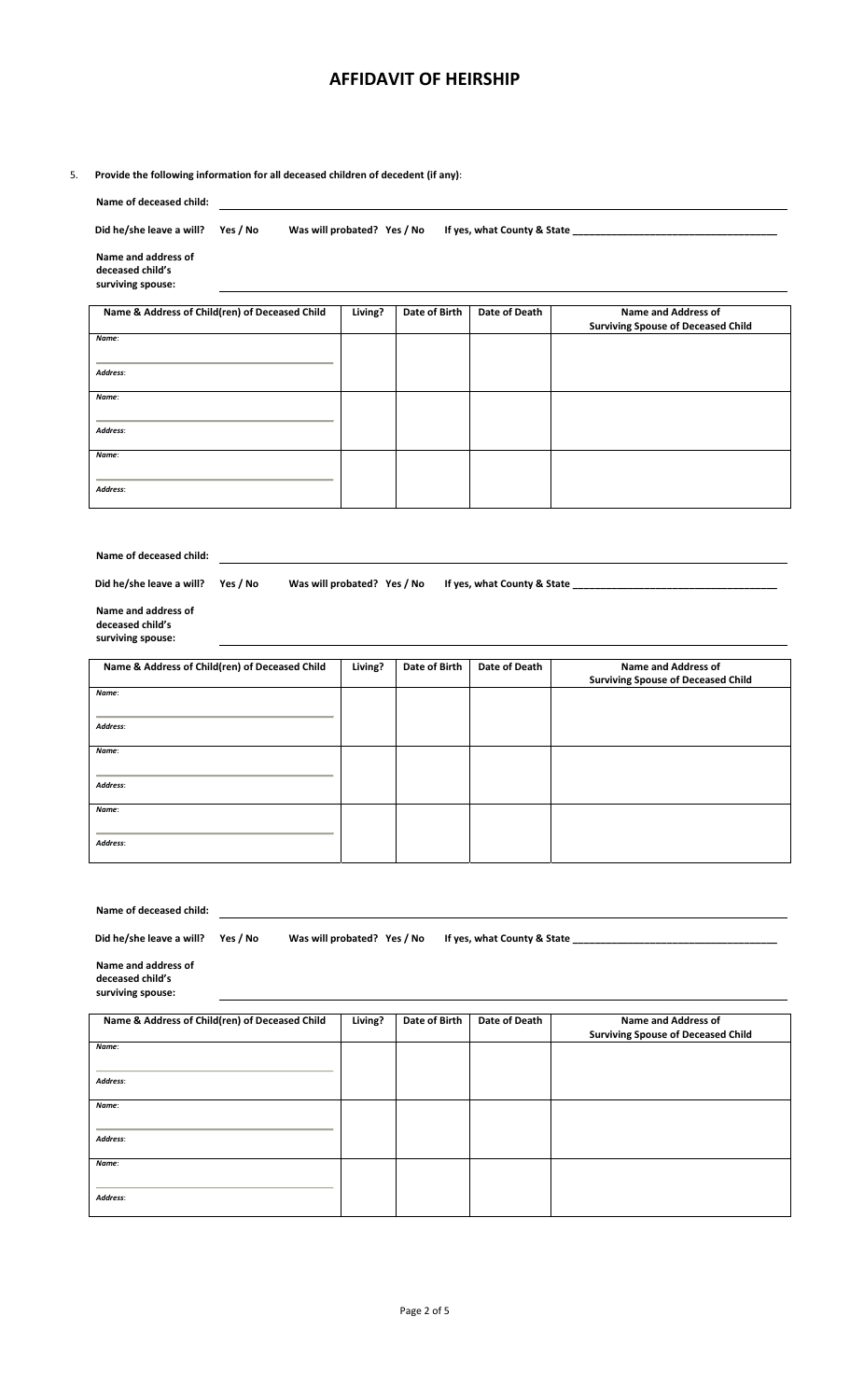#### 5. **Provide the following information for all deceased children of decedent (if any)**:

| Name of deceased child:                                                                                                                                        |                             |               |               |                                                                         |
|----------------------------------------------------------------------------------------------------------------------------------------------------------------|-----------------------------|---------------|---------------|-------------------------------------------------------------------------|
| Did he/she leave a will?<br>Yes / No                                                                                                                           | Was will probated? Yes / No |               |               |                                                                         |
| Name and address of<br>deceased child's<br>surviving spouse:                                                                                                   |                             |               |               |                                                                         |
| Name & Address of Child(ren) of Deceased Child                                                                                                                 | Living?                     | Date of Birth | Date of Death | <b>Name and Address of</b><br><b>Surviving Spouse of Deceased Child</b> |
| Name:                                                                                                                                                          |                             |               |               |                                                                         |
| Address:                                                                                                                                                       |                             |               |               |                                                                         |
| Name:                                                                                                                                                          |                             |               |               |                                                                         |
| Address:                                                                                                                                                       |                             |               |               |                                                                         |
| Name:                                                                                                                                                          |                             |               |               |                                                                         |
| Address:                                                                                                                                                       |                             |               |               |                                                                         |
| Name of deceased child:<br>Did he/she leave a will?<br>Was will probated? Yes / No<br>Yes / No<br>Name and address of<br>deceased child's<br>surviving spouse: |                             |               |               |                                                                         |
| Name & Address of Child(ren) of Deceased Child                                                                                                                 | Living?                     | Date of Birth | Date of Death | <b>Name and Address of</b><br><b>Surviving Spouse of Deceased Child</b> |
| Name:<br>Address:                                                                                                                                              |                             |               |               |                                                                         |
| Name:                                                                                                                                                          |                             |               |               |                                                                         |
| Address:                                                                                                                                                       |                             |               |               |                                                                         |
| Name:                                                                                                                                                          |                             |               |               |                                                                         |
| Address:                                                                                                                                                       |                             |               |               |                                                                         |
|                                                                                                                                                                |                             |               |               |                                                                         |

| Name of deceased child:                                                                                                                                                                                                                                                                            |         |               |               |                                                                         |  |  |
|----------------------------------------------------------------------------------------------------------------------------------------------------------------------------------------------------------------------------------------------------------------------------------------------------|---------|---------------|---------------|-------------------------------------------------------------------------|--|--|
| Did he/she leave a will? Yes / No<br>Was will probated? Yes / No<br>If yes, what County & State Theory of the State State of the State State State State State State State State State State State State State State State State State State State State State State State State State State State |         |               |               |                                                                         |  |  |
| Name and address of<br>deceased child's<br>surviving spouse:                                                                                                                                                                                                                                       |         |               |               |                                                                         |  |  |
| Name & Address of Child(ren) of Deceased Child                                                                                                                                                                                                                                                     | Living? | Date of Birth | Date of Death | <b>Name and Address of</b><br><b>Surviving Spouse of Deceased Child</b> |  |  |
| Name:                                                                                                                                                                                                                                                                                              |         |               |               |                                                                         |  |  |
| Address:                                                                                                                                                                                                                                                                                           |         |               |               |                                                                         |  |  |
| Name:                                                                                                                                                                                                                                                                                              |         |               |               |                                                                         |  |  |
| Address:                                                                                                                                                                                                                                                                                           |         |               |               |                                                                         |  |  |
| Name:                                                                                                                                                                                                                                                                                              |         |               |               |                                                                         |  |  |
| Address:                                                                                                                                                                                                                                                                                           |         |               |               |                                                                         |  |  |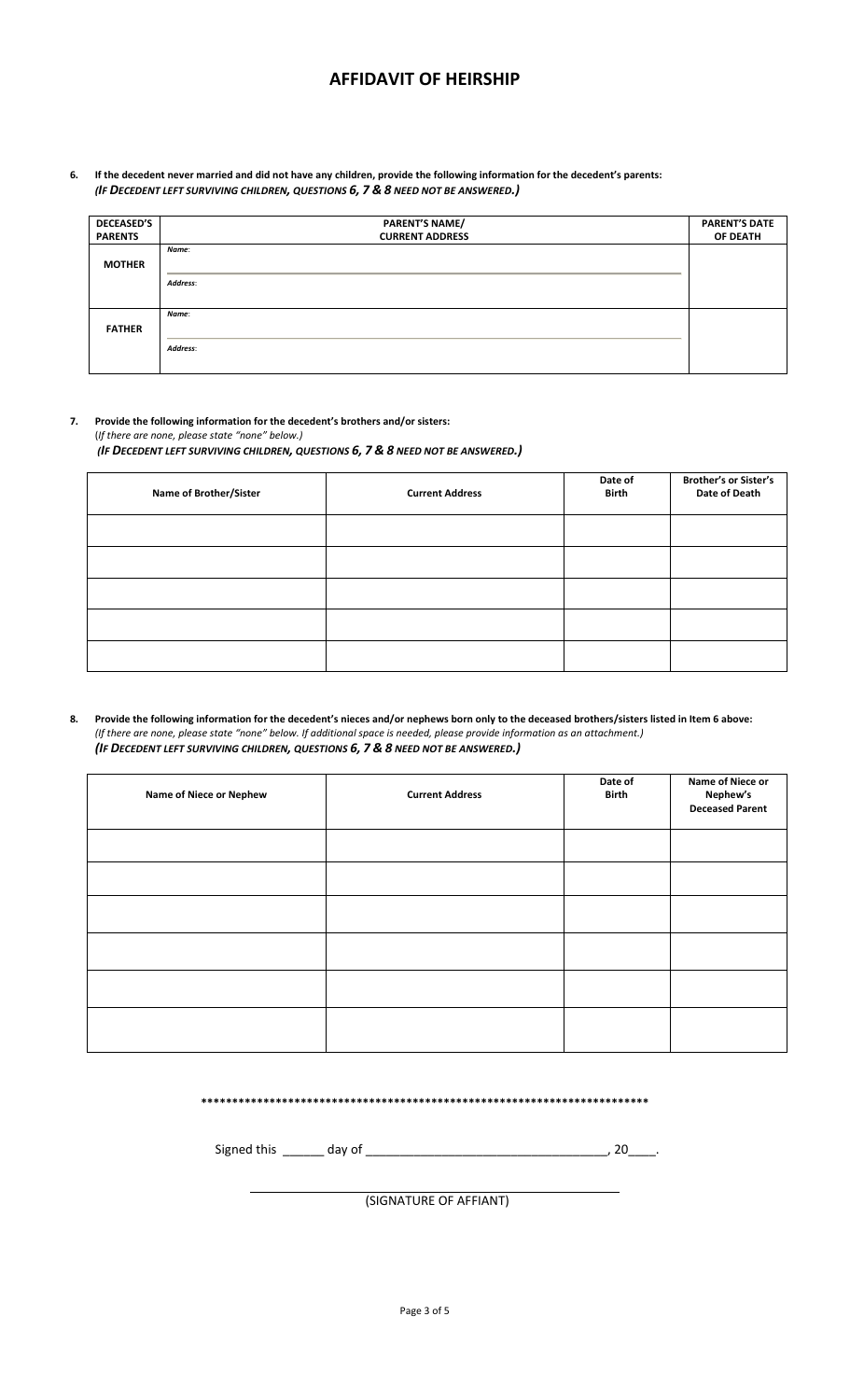6. If the decedent never married and did not have any children, provide the following information for the decedent's parents: *(IF DECEDENT LEFT SURVIVING CHILDREN, QUESTIONS 6, 7 & 8 NEED NOT BE ANSWERED.)*

| <b>DECEASED'S</b> | <b>PARENT'S NAME/</b>  | <b>PARENT'S DATE</b> |
|-------------------|------------------------|----------------------|
| <b>PARENTS</b>    | <b>CURRENT ADDRESS</b> | OF DEATH             |
|                   | Name:                  |                      |
| <b>MOTHER</b>     |                        |                      |
|                   | Address:               |                      |
|                   |                        |                      |
|                   | Name:                  |                      |
| <b>FATHER</b>     |                        |                      |
|                   | Address:               |                      |
|                   |                        |                      |

**7. Provide the following information for the decedent's brothers and/or sisters:** (*If there are none, please state "none" below.)* 

*(IF DECEDENT LEFT SURVIVING CHILDREN, QUESTIONS 6, 7 & 8 NEED NOT BE ANSWERED.)*

| Name of Brother/Sister | <b>Current Address</b> | Date of<br>Birth | <b>Brother's or Sister's</b><br>Date of Death |
|------------------------|------------------------|------------------|-----------------------------------------------|
|                        |                        |                  |                                               |
|                        |                        |                  |                                               |
|                        |                        |                  |                                               |
|                        |                        |                  |                                               |
|                        |                        |                  |                                               |

8. Provide the following information for the decedent's nieces and/or nephews born only to the deceased brothers/sisters listed in Item 6 above: (If there are none, please state "none" below. If additional space is needed, please provide information as an attachment.) *(IF DECEDENT LEFT SURVIVING CHILDREN, QUESTIONS 6, 7 & 8 NEED NOT BE ANSWERED.)*

| Name of Niece or Nephew | <b>Current Address</b> | Date of<br><b>Birth</b> | Name of Niece or<br>Nephew's<br><b>Deceased Parent</b> |
|-------------------------|------------------------|-------------------------|--------------------------------------------------------|
|                         |                        |                         |                                                        |
|                         |                        |                         |                                                        |
|                         |                        |                         |                                                        |
|                         |                        |                         |                                                        |
|                         |                        |                         |                                                        |
|                         |                        |                         |                                                        |

**\*\*\*\*\*\*\*\*\*\*\*\*\*\*\*\*\*\*\*\*\*\*\*\*\*\*\*\*\*\*\*\*\*\*\*\*\*\*\*\*\*\*\*\*\*\*\*\*\*\*\*\*\*\*\*\*\*\*\*\*\*\*\*\*\*\*\*\*\*\*\*\***

Signed this \_\_\_\_\_\_ day of \_\_\_\_\_\_\_\_\_\_\_\_\_\_\_\_\_\_\_\_\_\_\_\_\_\_\_\_\_\_\_\_\_\_\_, 20\_\_\_\_.

(SIGNATURE OF AFFIANT)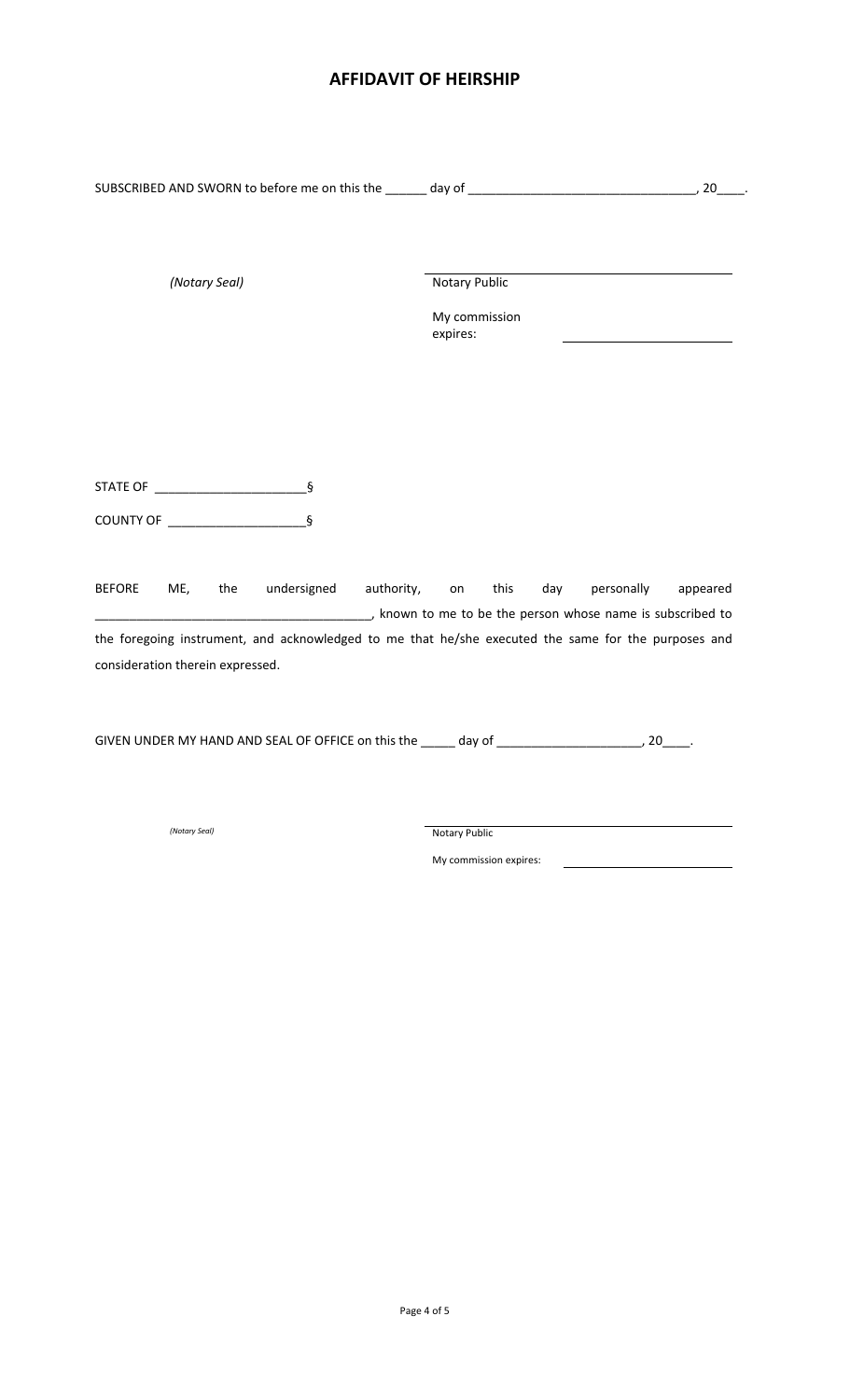| (Notary Seal)                                                                                       | Notary Public                                                                                            |
|-----------------------------------------------------------------------------------------------------|----------------------------------------------------------------------------------------------------------|
|                                                                                                     | My commission<br>expires:                                                                                |
|                                                                                                     |                                                                                                          |
|                                                                                                     |                                                                                                          |
|                                                                                                     |                                                                                                          |
|                                                                                                     |                                                                                                          |
|                                                                                                     |                                                                                                          |
| $\S$<br>COUNTY OF ___________________                                                               |                                                                                                          |
|                                                                                                     |                                                                                                          |
| undersigned authority, on<br><b>BEFORE</b><br>ME,<br>the                                            | personally<br>this<br>day<br>appeared                                                                    |
|                                                                                                     | in the to be the person whose name is subscribed to the series of the person whose name is subscribed to |
| the foregoing instrument, and acknowledged to me that he/she executed the same for the purposes and |                                                                                                          |
| consideration therein expressed.                                                                    |                                                                                                          |
|                                                                                                     |                                                                                                          |
|                                                                                                     |                                                                                                          |
|                                                                                                     |                                                                                                          |
|                                                                                                     |                                                                                                          |
| (Notary Seal)                                                                                       | Notary Public                                                                                            |

My commission expires: